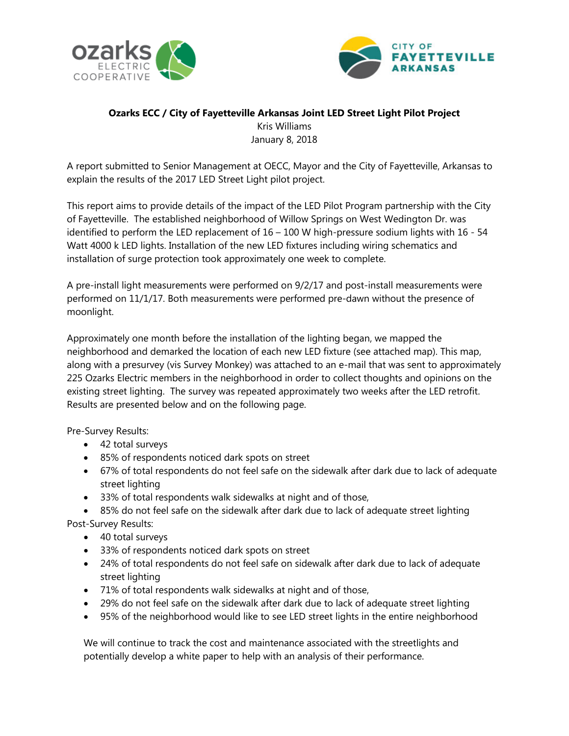



## **Ozarks ECC / City of Fayetteville Arkansas Joint LED Street Light Pilot Project** Kris Williams January 8, 2018

A report submitted to Senior Management at OECC, Mayor and the City of Fayetteville, Arkansas to explain the results of the 2017 LED Street Light pilot project.

This report aims to provide details of the impact of the LED Pilot Program partnership with the City of Fayetteville. The established neighborhood of Willow Springs on West Wedington Dr. was identified to perform the LED replacement of 16 – 100 W high-pressure sodium lights with 16 - 54 Watt 4000 k LED lights. Installation of the new LED fixtures including wiring schematics and installation of surge protection took approximately one week to complete.

A pre-install light measurements were performed on 9/2/17 and post-install measurements were performed on 11/1/17. Both measurements were performed pre-dawn without the presence of moonlight.

Approximately one month before the installation of the lighting began, we mapped the neighborhood and demarked the location of each new LED fixture (see attached map). This map, along with a presurvey (vis Survey Monkey) was attached to an e-mail that was sent to approximately 225 Ozarks Electric members in the neighborhood in order to collect thoughts and opinions on the existing street lighting. The survey was repeated approximately two weeks after the LED retrofit. Results are presented below and on the following page.

Pre-Survey Results:

- 42 total surveys
- 85% of respondents noticed dark spots on street
- 67% of total respondents do not feel safe on the sidewalk after dark due to lack of adequate street lighting
- 33% of total respondents walk sidewalks at night and of those,
- 85% do not feel safe on the sidewalk after dark due to lack of adequate street lighting Post-Survey Results:
	- 40 total surveys
	- 33% of respondents noticed dark spots on street
	- 24% of total respondents do not feel safe on sidewalk after dark due to lack of adequate street lighting
	- 71% of total respondents walk sidewalks at night and of those,
	- 29% do not feel safe on the sidewalk after dark due to lack of adequate street lighting
	- 95% of the neighborhood would like to see LED street lights in the entire neighborhood

We will continue to track the cost and maintenance associated with the streetlights and potentially develop a white paper to help with an analysis of their performance.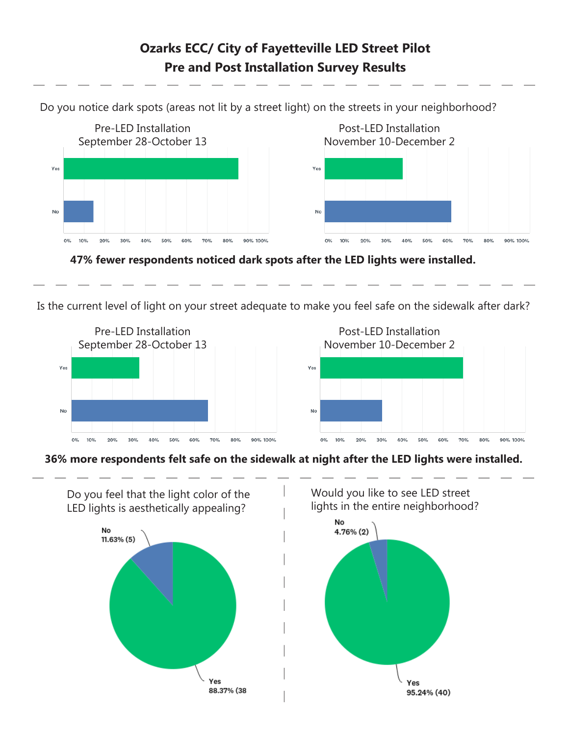## **Ozarks ECC/ City of Fayetteville LED Street Pilot Pre and Post Installation Survey Results**

Do you notice dark spots (areas not lit by a street light) on the streets in your neighborhood?



**47% fewer respondents noticed dark spots after the LED lights were installed.** 

Is the current level of light on your street adequate to make you feel safe on the sidewalk after dark?



**36% more respondents felt safe on the sidewalk at night after the LED lights were installed.**